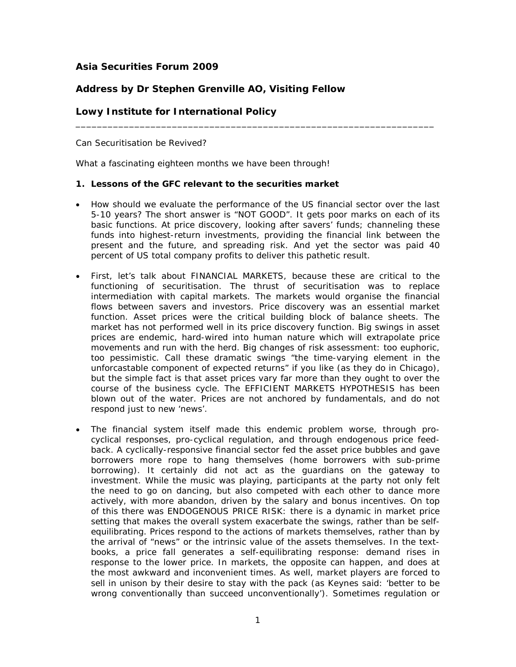## **Asia Securities Forum 2009**

# **Address by Dr Stephen Grenville AO, Visiting Fellow**

## **Lowy Institute for International Policy**

Can Securitisation be Revived?

What a fascinating eighteen months we have been through!

#### **1. Lessons of the GFC relevant to the securities market**

• How should we evaluate the performance of the US financial sector over the last 5-10 years? The short answer is "NOT GOOD". It gets poor marks on each of its basic functions. At price discovery, looking after savers' funds; channeling these funds into highest-return investments, providing the financial link between the present and the future, and spreading risk. And yet the sector was paid 40 percent of US total company profits to deliver this pathetic result.

\_\_\_\_\_\_\_\_\_\_\_\_\_\_\_\_\_\_\_\_\_\_\_\_\_\_\_\_\_\_\_\_\_\_\_\_\_\_\_\_\_\_\_\_\_\_\_\_\_\_\_\_\_\_\_\_\_\_\_\_\_\_\_\_\_\_\_

- First, let's talk about FINANCIAL MARKETS, because these are critical to the functioning of securitisation. The thrust of securitisation was to replace intermediation with capital markets. The markets would organise the financial flows between savers and investors. Price discovery was an essential market function. Asset prices were the critical building block of balance sheets. The market has not performed well in its price discovery function. Big swings in asset prices are endemic, hard-wired into human nature which will extrapolate price movements and run with the herd. Big changes of risk assessment: too euphoric, too pessimistic. Call these dramatic swings "the time-varying element in the unforcastable component of expected returns" if you like (as they do in Chicago), but the simple fact is that asset prices vary far more than they ought to over the course of the business cycle. The EFFICIENT MARKETS HYPOTHESIS has been blown out of the water. Prices are not anchored by fundamentals, and do not respond just to new 'news'.
- The financial system itself made this endemic problem worse, through procyclical responses, pro-cyclical regulation, and through endogenous price feedback. A cyclically-responsive financial sector fed the asset price bubbles and gave borrowers more rope to hang themselves (home borrowers with sub-prime borrowing). It certainly did not act as the guardians on the gateway to investment. While the music was playing, participants at the party not only felt the need to go on dancing, but also competed with each other to dance more actively, with more abandon, driven by the salary and bonus incentives. On top of this there was ENDOGENOUS PRICE RISK: there is a dynamic in market price setting that makes the overall system exacerbate the swings, rather than be selfequilibrating. Prices respond to the actions of markets themselves, rather than by the arrival of "news" or the intrinsic value of the assets themselves. In the textbooks, a price fall generates a self-equilibrating response: demand rises in response to the lower price. In markets, the opposite can happen, and does at the most awkward and inconvenient times. As well, market players are forced to sell in unison by their desire to stay with the pack (as Keynes said: 'better to be wrong conventionally than succeed unconventionally'). Sometimes regulation or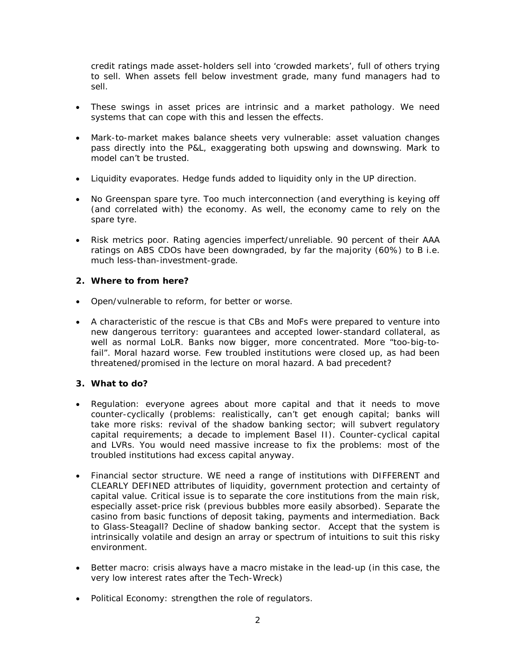credit ratings made asset-holders sell into 'crowded markets', full of others trying to sell. When assets fell below investment grade, many fund managers had to sell.

- These swings in asset prices are intrinsic and a market pathology. We need systems that can cope with this and lessen the effects.
- Mark-to-market makes balance sheets very vulnerable: asset valuation changes pass directly into the P&L, exaggerating both upswing and downswing. Mark to model can't be trusted.
- Liquidity evaporates. Hedge funds added to liquidity only in the UP direction.
- No Greenspan spare tyre. Too much interconnection (and everything is keying off (and correlated with) the economy. As well, the economy came to rely on the spare tyre.
- Risk metrics poor. Rating agencies imperfect/unreliable. 90 percent of their AAA ratings on ABS CDOs have been downgraded, by far the majority (60%) to B i.e. much less-than-investment-grade.

## **2. Where to from here?**

- Open/vulnerable to reform, for better or worse.
- A characteristic of the rescue is that CBs and MoFs were prepared to venture into new dangerous territory: guarantees and accepted lower-standard collateral, as well as normal LoLR. Banks now bigger, more concentrated. More "too-big-tofail". Moral hazard worse. Few troubled institutions were closed up, as had been threatened/promised in the lecture on moral hazard. A bad precedent?

### **3. What to do?**

- Regulation: everyone agrees about more capital and that it needs to move counter-cyclically (problems: realistically, can't get enough capital; banks will take more risks: revival of the shadow banking sector; will subvert regulatory capital requirements; a decade to implement Basel II). Counter-cyclical capital and LVRs. You would need massive increase to fix the problems: most of the troubled institutions had excess capital anyway.
- Financial sector structure. WE need a range of institutions with DIFFERENT and CLEARLY DEFINED attributes of liquidity, government protection and certainty of capital value. Critical issue is to separate the core institutions from the main risk, especially asset-price risk (previous bubbles more easily absorbed). Separate the casino from basic functions of deposit taking, payments and intermediation. Back to Glass-Steagall? Decline of shadow banking sector. Accept that the system is intrinsically volatile and design an array or spectrum of intuitions to suit this risky environment.
- Better macro: crisis always have a macro mistake in the lead-up (in this case, the very low interest rates after the Tech-Wreck)
- Political Economy: strengthen the role of regulators.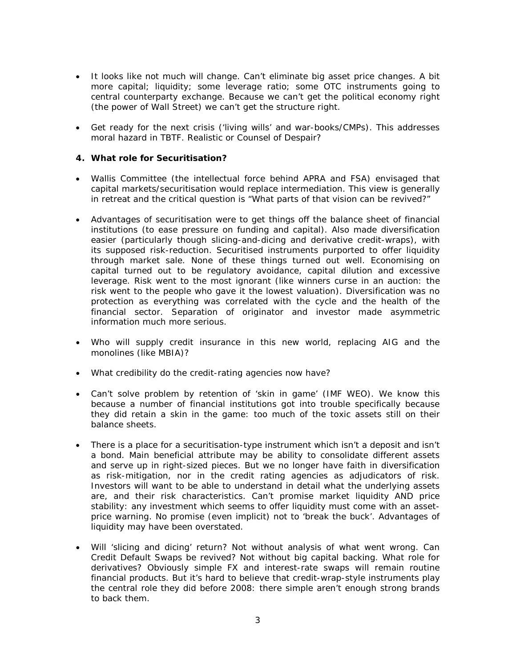- It looks like not much will change. Can't eliminate big asset price changes. A bit more capital; liquidity; some leverage ratio; some OTC instruments going to central counterparty exchange. Because we can't get the political economy right (the power of Wall Street) we can't get the structure right.
- Get ready for the next crisis ('living wills' and war-books/CMPs). This addresses moral hazard in TBTF. Realistic or Counsel of Despair?

### **4. What role for Securitisation?**

- Wallis Committee (the intellectual force behind APRA and FSA) envisaged that capital markets/securitisation would replace intermediation. This view is generally in retreat and the critical question is "What parts of that vision can be revived?"
- Advantages of securitisation were to get things off the balance sheet of financial institutions (to ease pressure on funding and capital). Also made diversification easier (particularly though slicing-and-dicing and derivative credit-wraps), with its supposed risk-reduction. Securitised instruments purported to offer liquidity through market sale. None of these things turned out well. Economising on capital turned out to be regulatory avoidance, capital dilution and excessive leverage. Risk went to the most ignorant (like winners curse in an auction: the risk went to the people who gave it the lowest valuation). Diversification was no protection as everything was correlated with the cycle and the health of the financial sector. Separation of originator and investor made asymmetric information much more serious.
- Who will supply credit insurance in this new world, replacing AIG and the monolines (like MBIA)?
- What credibility do the credit-rating agencies now have?
- Can't solve problem by retention of 'skin in game' (IMF WEO). We know this because a number of financial institutions got into trouble specifically because they *did* retain a skin in the game: too much of the toxic assets still on their balance sheets.
- There is a place for a securitisation-type instrument which isn't a deposit and isn't a bond. Main beneficial attribute may be ability to consolidate different assets and serve up in right-sized pieces. But we no longer have faith in diversification as risk-mitigation, nor in the credit rating agencies as adjudicators of risk. Investors will want to be able to understand in detail what the underlying assets are, and their risk characteristics. Can't promise market liquidity AND price stability: any investment which seems to offer liquidity must come with an assetprice warning. No promise (even implicit) not to 'break the buck'. Advantages of liquidity may have been overstated.
- Will 'slicing and dicing' return? Not without analysis of what went wrong. Can Credit Default Swaps be revived? Not without big capital backing. What role for derivatives? Obviously simple FX and interest-rate swaps will remain routine financial products. But it's hard to believe that credit-wrap-style instruments play the central role they did before 2008: there simple aren't enough strong brands to back them.